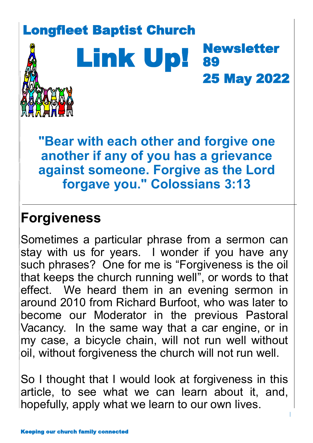## Link Up! Longfleet Baptist Church **Newsletter** 89 25 May 2022

**"Bear with each other and forgive one another if any of you has a grievance against someone. Forgive as the Lord forgave you." Colossians 3:13**

## **Forgiveness**

Sometimes a particular phrase from a sermon can stay with us for years. I wonder if you have any such phrases? One for me is "Forgiveness is the oil that keeps the church running well", or words to that effect. We heard them in an evening sermon in around 2010 from Richard Burfoot, who was later to become our Moderator in the previous Pastoral Vacancy. In the same way that a car engine, or in my case, a bicycle chain, will not run well without oil, without forgiveness the church will not run well.

So I thought that I would look at forgiveness in this article, to see what we can learn about it, and, hopefully, apply what we learn to our own lives.

1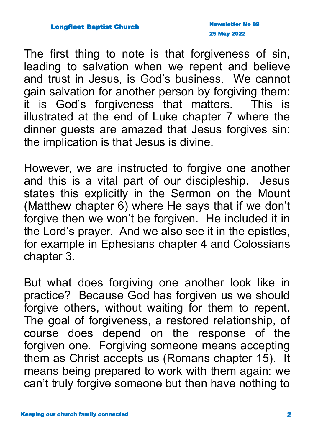The first thing to note is that forgiveness of sin, leading to salvation when we repent and believe and trust in Jesus, is God's business. We cannot gain salvation for another person by forgiving them: it is God's forgiveness that matters. This is illustrated at the end of Luke chapter 7 where the dinner guests are amazed that Jesus forgives sin: the implication is that Jesus is divine.

However, we are instructed to forgive one another and this is a vital part of our discipleship. Jesus states this explicitly in the Sermon on the Mount (Matthew chapter 6) where He says that if we don't forgive then we won't be forgiven. He included it in the Lord's prayer. And we also see it in the epistles, for example in Ephesians chapter 4 and Colossians chapter 3.

But what does forgiving one another look like in practice? Because God has forgiven us we should forgive others, without waiting for them to repent. The goal of forgiveness, a restored relationship, of course does depend on the response of the forgiven one. Forgiving someone means accepting them as Christ accepts us (Romans chapter 15). It means being prepared to work with them again: we can't truly forgive someone but then have nothing to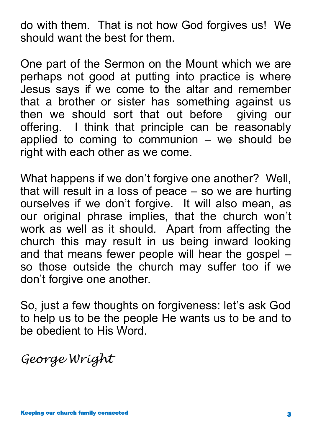do with them. That is not how God forgives us! We should want the best for them.

One part of the Sermon on the Mount which we are perhaps not good at putting into practice is where Jesus says if we come to the altar and remember that a brother or sister has something against us then we should sort that out before giving our offering. I think that principle can be reasonably applied to coming to communion – we should be right with each other as we come.

What happens if we don't forgive one another? Well, that will result in a loss of peace – so we are hurting ourselves if we don't forgive. It will also mean, as our original phrase implies, that the church won't work as well as it should. Apart from affecting the church this may result in us being inward looking and that means fewer people will hear the gospel – so those outside the church may suffer too if we don't forgive one another.

So, just a few thoughts on forgiveness: let's ask God to help us to be the people He wants us to be and to be obedient to His Word.

*George Wright*